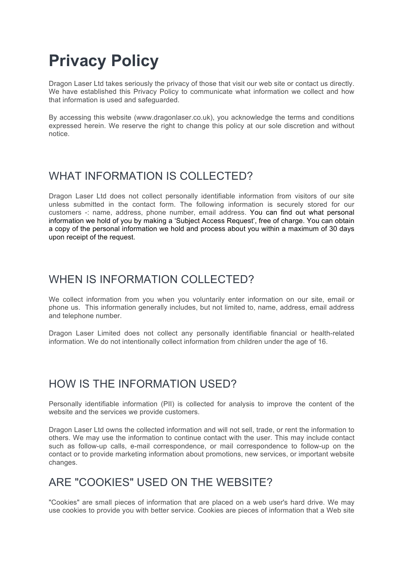# **Privacy Policy**

Dragon Laser Ltd takes seriously the privacy of those that visit our web site or contact us directly. We have established this Privacy Policy to communicate what information we collect and how that information is used and safeguarded.

By accessing this website (www.dragonlaser.co.uk), you acknowledge the terms and conditions expressed herein. We reserve the right to change this policy at our sole discretion and without notice.

## WHAT INFORMATION IS COLLECTED?

Dragon Laser Ltd does not collect personally identifiable information from visitors of our site unless submitted in the contact form. The following information is securely stored for our customers -: name, address, phone number, email address. You can find out what personal information we hold of you by making a 'Subject Access Request', free of charge. You can obtain a copy of the personal information we hold and process about you within a maximum of 30 days upon receipt of the request.

## WHEN IS INFORMATION COLLECTED?

We collect information from you when you voluntarily enter information on our site, email or phone us. This information generally includes, but not limited to, name, address, email address and telephone number.

Dragon Laser Limited does not collect any personally identifiable financial or health-related information. We do not intentionally collect information from children under the age of 16.

# HOW IS THE INFORMATION USED?

Personally identifiable information (PII) is collected for analysis to improve the content of the website and the services we provide customers.

Dragon Laser Ltd owns the collected information and will not sell, trade, or rent the information to others. We may use the information to continue contact with the user. This may include contact such as follow-up calls, e-mail correspondence, or mail correspondence to follow-up on the contact or to provide marketing information about promotions, new services, or important website changes.

## ARE "COOKIES" USED ON THE WEBSITE?

"Cookies" are small pieces of information that are placed on a web user's hard drive. We may use cookies to provide you with better service. Cookies are pieces of information that a Web site